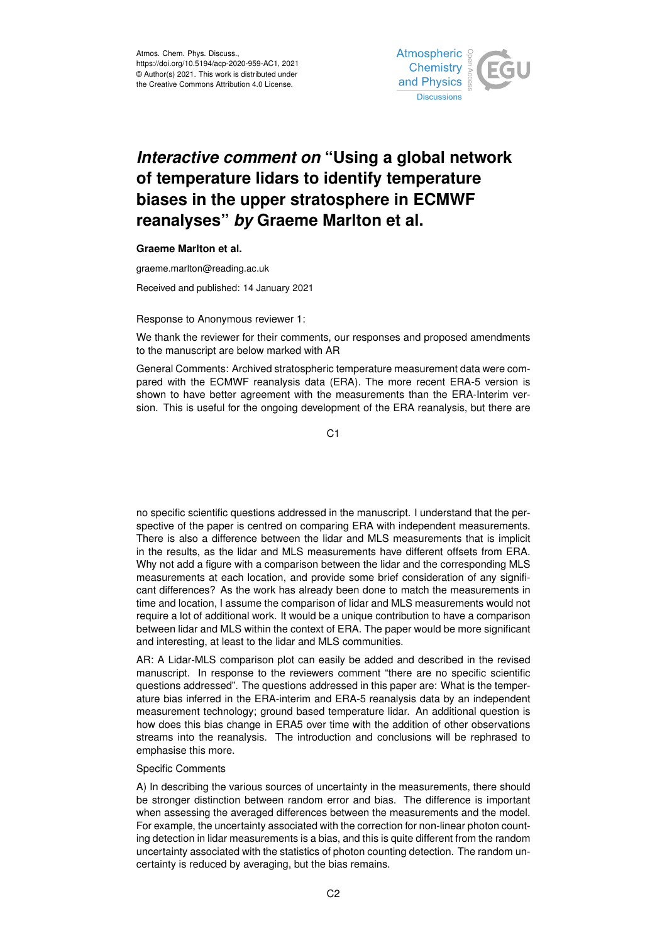

## *Interactive comment on* **"Using a global network of temperature lidars to identify temperature biases in the upper stratosphere in ECMWF reanalyses"** *by* **Graeme Marlton et al.**

## **Graeme Marlton et al.**

graeme.marlton@reading.ac.uk

Received and published: 14 January 2021

## Response to Anonymous reviewer 1:

We thank the reviewer for their comments, our responses and proposed amendments to the manuscript are below marked with AR

General Comments: Archived stratospheric temperature measurement data were compared with the ECMWF reanalysis data (ERA). The more recent ERA-5 version is shown to have better agreement with the measurements than the ERA-Interim version. This is useful for the ongoing development of the ERA reanalysis, but there are

C<sub>1</sub>

no specific scientific questions addressed in the manuscript. I understand that the perspective of the paper is centred on comparing ERA with independent measurements. There is also a difference between the lidar and MLS measurements that is implicit in the results, as the lidar and MLS measurements have different offsets from ERA. Why not add a figure with a comparison between the lidar and the corresponding MLS measurements at each location, and provide some brief consideration of any significant differences? As the work has already been done to match the measurements in time and location, I assume the comparison of lidar and MLS measurements would not require a lot of additional work. It would be a unique contribution to have a comparison between lidar and MLS within the context of ERA. The paper would be more significant and interesting, at least to the lidar and MLS communities.

AR: A Lidar-MLS comparison plot can easily be added and described in the revised manuscript. In response to the reviewers comment "there are no specific scientific questions addressed". The questions addressed in this paper are: What is the temperature bias inferred in the ERA-interim and ERA-5 reanalysis data by an independent measurement technology; ground based temperature lidar. An additional question is how does this bias change in ERA5 over time with the addition of other observations streams into the reanalysis. The introduction and conclusions will be rephrased to emphasise this more.

## Specific Comments

A) In describing the various sources of uncertainty in the measurements, there should be stronger distinction between random error and bias. The difference is important when assessing the averaged differences between the measurements and the model. For example, the uncertainty associated with the correction for non-linear photon counting detection in lidar measurements is a bias, and this is quite different from the random uncertainty associated with the statistics of photon counting detection. The random uncertainty is reduced by averaging, but the bias remains.